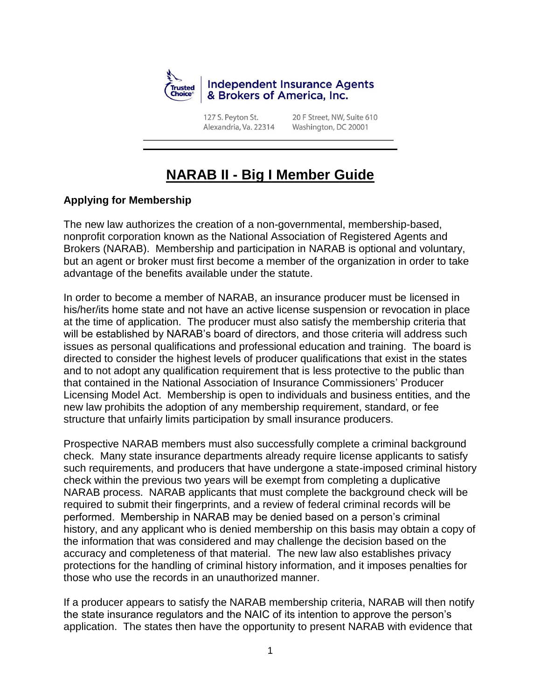

127 S. Peyton St. Alexandria, Va. 22314 20 F Street, NW, Suite 610 Washington, DC 20001

# **NARAB II - Big I Member Guide**

## **Applying for Membership**

The new law authorizes the creation of a non-governmental, membership-based, nonprofit corporation known as the National Association of Registered Agents and Brokers (NARAB). Membership and participation in NARAB is optional and voluntary, but an agent or broker must first become a member of the organization in order to take advantage of the benefits available under the statute.

In order to become a member of NARAB, an insurance producer must be licensed in his/her/its home state and not have an active license suspension or revocation in place at the time of application. The producer must also satisfy the membership criteria that will be established by NARAB's board of directors, and those criteria will address such issues as personal qualifications and professional education and training. The board is directed to consider the highest levels of producer qualifications that exist in the states and to not adopt any qualification requirement that is less protective to the public than that contained in the National Association of Insurance Commissioners' Producer Licensing Model Act. Membership is open to individuals and business entities, and the new law prohibits the adoption of any membership requirement, standard, or fee structure that unfairly limits participation by small insurance producers.

Prospective NARAB members must also successfully complete a criminal background check. Many state insurance departments already require license applicants to satisfy such requirements, and producers that have undergone a state-imposed criminal history check within the previous two years will be exempt from completing a duplicative NARAB process. NARAB applicants that must complete the background check will be required to submit their fingerprints, and a review of federal criminal records will be performed. Membership in NARAB may be denied based on a person's criminal history, and any applicant who is denied membership on this basis may obtain a copy of the information that was considered and may challenge the decision based on the accuracy and completeness of that material. The new law also establishes privacy protections for the handling of criminal history information, and it imposes penalties for those who use the records in an unauthorized manner.

If a producer appears to satisfy the NARAB membership criteria, NARAB will then notify the state insurance regulators and the NAIC of its intention to approve the person's application. The states then have the opportunity to present NARAB with evidence that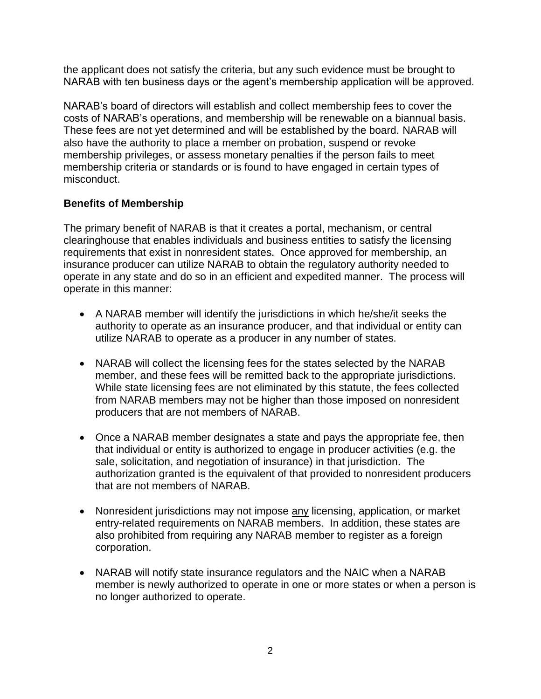the applicant does not satisfy the criteria, but any such evidence must be brought to NARAB with ten business days or the agent's membership application will be approved.

NARAB's board of directors will establish and collect membership fees to cover the costs of NARAB's operations, and membership will be renewable on a biannual basis. These fees are not yet determined and will be established by the board. NARAB will also have the authority to place a member on probation, suspend or revoke membership privileges, or assess monetary penalties if the person fails to meet membership criteria or standards or is found to have engaged in certain types of misconduct.

### **Benefits of Membership**

The primary benefit of NARAB is that it creates a portal, mechanism, or central clearinghouse that enables individuals and business entities to satisfy the licensing requirements that exist in nonresident states. Once approved for membership, an insurance producer can utilize NARAB to obtain the regulatory authority needed to operate in any state and do so in an efficient and expedited manner. The process will operate in this manner:

- A NARAB member will identify the jurisdictions in which he/she/it seeks the authority to operate as an insurance producer, and that individual or entity can utilize NARAB to operate as a producer in any number of states.
- NARAB will collect the licensing fees for the states selected by the NARAB member, and these fees will be remitted back to the appropriate jurisdictions. While state licensing fees are not eliminated by this statute, the fees collected from NARAB members may not be higher than those imposed on nonresident producers that are not members of NARAB.
- Once a NARAB member designates a state and pays the appropriate fee, then that individual or entity is authorized to engage in producer activities (e.g. the sale, solicitation, and negotiation of insurance) in that jurisdiction. The authorization granted is the equivalent of that provided to nonresident producers that are not members of NARAB.
- Nonresident jurisdictions may not impose any licensing, application, or market entry-related requirements on NARAB members. In addition, these states are also prohibited from requiring any NARAB member to register as a foreign corporation.
- NARAB will notify state insurance regulators and the NAIC when a NARAB member is newly authorized to operate in one or more states or when a person is no longer authorized to operate.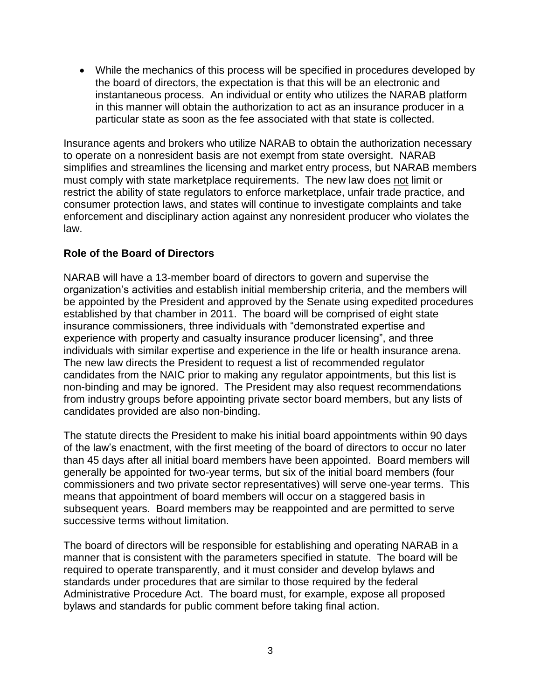While the mechanics of this process will be specified in procedures developed by the board of directors, the expectation is that this will be an electronic and instantaneous process. An individual or entity who utilizes the NARAB platform in this manner will obtain the authorization to act as an insurance producer in a particular state as soon as the fee associated with that state is collected.

Insurance agents and brokers who utilize NARAB to obtain the authorization necessary to operate on a nonresident basis are not exempt from state oversight. NARAB simplifies and streamlines the licensing and market entry process, but NARAB members must comply with state marketplace requirements. The new law does not limit or restrict the ability of state regulators to enforce marketplace, unfair trade practice, and consumer protection laws, and states will continue to investigate complaints and take enforcement and disciplinary action against any nonresident producer who violates the law.

#### **Role of the Board of Directors**

NARAB will have a 13-member board of directors to govern and supervise the organization's activities and establish initial membership criteria, and the members will be appointed by the President and approved by the Senate using expedited procedures established by that chamber in 2011. The board will be comprised of eight state insurance commissioners, three individuals with "demonstrated expertise and experience with property and casualty insurance producer licensing", and three individuals with similar expertise and experience in the life or health insurance arena. The new law directs the President to request a list of recommended regulator candidates from the NAIC prior to making any regulator appointments, but this list is non-binding and may be ignored. The President may also request recommendations from industry groups before appointing private sector board members, but any lists of candidates provided are also non-binding.

The statute directs the President to make his initial board appointments within 90 days of the law's enactment, with the first meeting of the board of directors to occur no later than 45 days after all initial board members have been appointed. Board members will generally be appointed for two-year terms, but six of the initial board members (four commissioners and two private sector representatives) will serve one-year terms. This means that appointment of board members will occur on a staggered basis in subsequent years. Board members may be reappointed and are permitted to serve successive terms without limitation.

The board of directors will be responsible for establishing and operating NARAB in a manner that is consistent with the parameters specified in statute. The board will be required to operate transparently, and it must consider and develop bylaws and standards under procedures that are similar to those required by the federal Administrative Procedure Act. The board must, for example, expose all proposed bylaws and standards for public comment before taking final action.